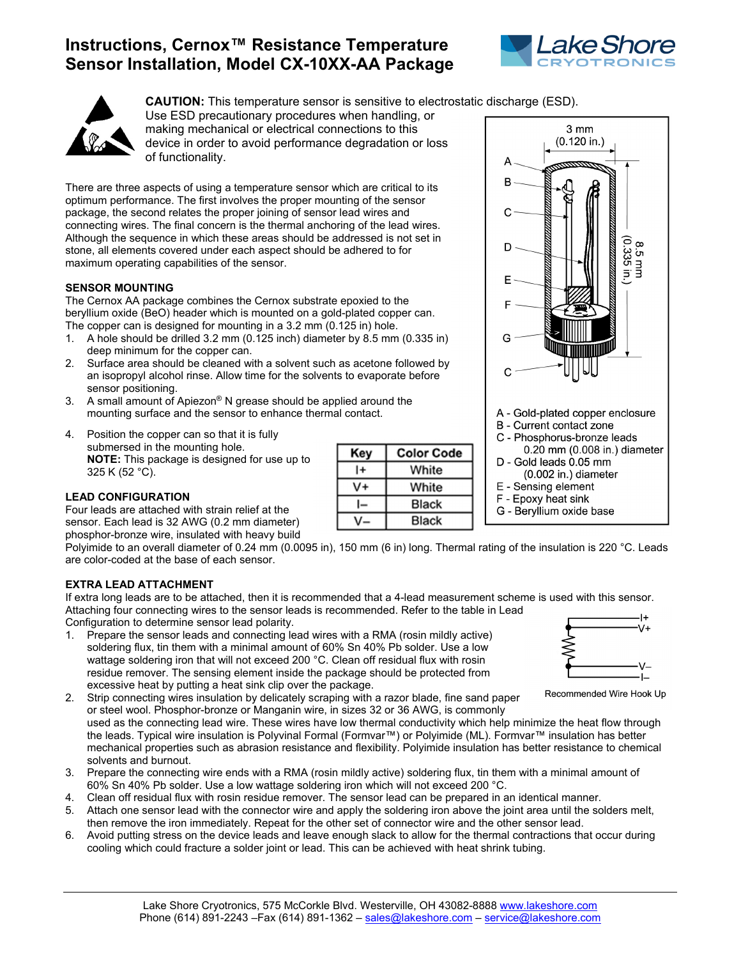# **Instructions, Cernox™ Resistance Temperature Sensor Installation, Model CX-10XX-AA Package**





**CAUTION:** This temperature sensor is sensitive to electrostatic discharge (ESD).

Use ESD precautionary procedures when handling, or making mechanical or electrical connections to this device in order to avoid performance degradation or loss of functionality.

There are three aspects of using a temperature sensor which are critical to its optimum performance. The first involves the proper mounting of the sensor package, the second relates the proper joining of sensor lead wires and connecting wires. The final concern is the thermal anchoring of the lead wires. Although the sequence in which these areas should be addressed is not set in stone, all elements covered under each aspect should be adhered to for maximum operating capabilities of the sensor.

## **SENSOR MOUNTING**

The Cernox AA package combines the Cernox substrate epoxied to the beryllium oxide (BeO) header which is mounted on a gold-plated copper can. The copper can is designed for mounting in a 3.2 mm (0.125 in) hole.

- 1. A hole should be drilled 3.2 mm (0.125 inch) diameter by 8.5 mm (0.335 in) deep minimum for the copper can.
- 2. Surface area should be cleaned with a solvent such as acetone followed by an isopropyl alcohol rinse. Allow time for the solvents to evaporate before sensor positioning.
- 3. A small amount of Apiezon® N grease should be applied around the mounting surface and the sensor to enhance thermal contact.
- 4. Position the copper can so that it is fully submersed in the mounting hole. **NOTE:** This package is designed for use up to 325 K (52 °C).

## **LEAD CONFIGURATION**

Four leads are attached with strain relief at the sensor. Each lead is 32 AWG (0.2 mm diameter) phosphor-bronze wire, insulated with heavy build

| Key | <b>Color Code</b> |
|-----|-------------------|
| l+  | White             |
|     | White             |
|     | <b>Black</b>      |
|     | <b>Black</b>      |



Polyimide to an overall diameter of 0.24 mm (0.0095 in), 150 mm (6 in) long. Thermal rating of the insulation is 220 °C. Leads are color-coded at the base of each sensor.

## **EXTRA LEAD ATTACHMENT**

If extra long leads are to be attached, then it is recommended that a 4-lead measurement scheme is used with this sensor. Attaching four connecting wires to the sensor leads is recommended. Refer to the table in Lead Configuration to determine sensor lead polarity.

1. Prepare the sensor leads and connecting lead wires with a RMA (rosin mildly active) soldering flux, tin them with a minimal amount of 60% Sn 40% Pb solder. Use a low wattage soldering iron that will not exceed 200 °C. Clean off residual flux with rosin residue remover. The sensing element inside the package should be protected from excessive heat by putting a heat sink clip over the package.



used as the connecting lead wire. These wires have low thermal conductivity which help minimize the heat flow through the leads. Typical wire insulation is Polyvinal Formal (Formvar™) or Polyimide (ML). Formvar™ insulation has better mechanical properties such as abrasion resistance and flexibility. Polyimide insulation has better resistance to chemical solvents and burnout.

- 3. Prepare the connecting wire ends with a RMA (rosin mildly active) soldering flux, tin them with a minimal amount of 60% Sn 40% Pb solder. Use a low wattage soldering iron which will not exceed 200 °C.
- 4. Clean off residual flux with rosin residue remover. The sensor lead can be prepared in an identical manner.
- 5. Attach one sensor lead with the connector wire and apply the soldering iron above the joint area until the solders melt, then remove the iron immediately. Repeat for the other set of connector wire and the other sensor lead.
- 6. Avoid putting stress on the device leads and leave enough slack to allow for the thermal contractions that occur during cooling which could fracture a solder joint or lead. This can be achieved with heat shrink tubing.



Recommended Wire Hook Up